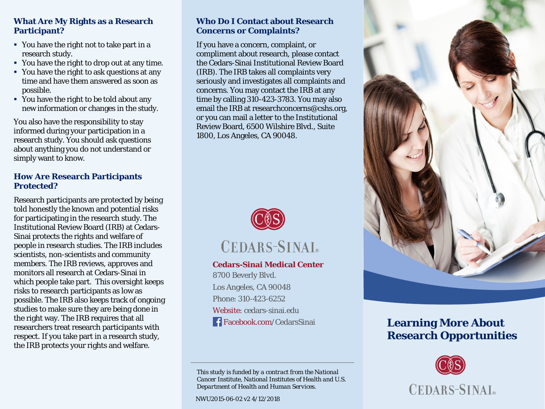# **What Are My Rights as a Research Participant?**

- You have the right not to take part in a research study.
- You have the right to drop out at any time.
- You have the right to ask questions at any time and have them answered as soon as possible.
- You have the right to be told about any new information or changes in the study.

You also have the responsibility to stay informed during your participation in a research study. You should ask questions about anything you do not understand or simply want to know.

## **How Are Research Participants Protected?**

Research participants are protected by being told honestly the known and potential risks for participating in the research study. The Institutional Review Board (IRB) at Cedars-Sinai protects the rights and welfare of people in research studies. The IRB includes scientists, non-scientists and community members. The IRB reviews, approves and monitors all research at Cedars-Sinai in which people take part. This oversight keeps risks to research participants as low as possible. The IRB also keeps track of ongoing studies to make sure they are being done in the right way. The IRB requires that all researchers treat research participants with respect. If you take part in a research study, the IRB protects your rights and welfare.

#### **Who Do I Contact about Research Concerns or Complaints?**

If you have a concern, complaint, or compliment about research, please contact the Cedars-Sinai Institutional Review Board (IRB). The IRB takes all complaints very seriously and investigates all complaints and concerns. You may contact the IRB at any time by calling 310-423-3783. You may also email the IRB at researchconcerns@cshs.org, or you can mail a letter to the Institutional Review Board, 6500 Wilshire Blvd., Suite 1800, Los Angeles, CA 90048.





#### **Cedars-Sinai Medical Center**

8700 Beverly Blvd. Los Angeles, CA 90048 Phone: 310-423-6252 Website: cedars-sinai.edu Facebook.com/CedarsSinai

*This study is funded by a contract from the National Cancer Institute, National Institutes of Health and U.S. Department of Health and Human Services.*

NWU2015-06-02 v2 4/12/2018



# **Learning More About Research Opportunities**